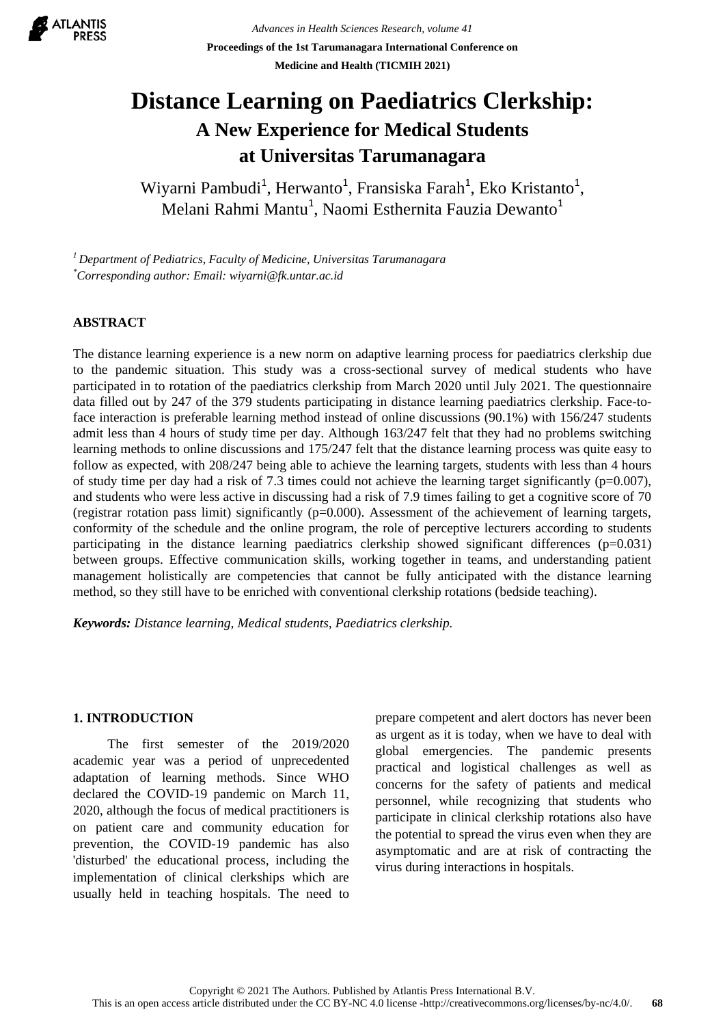

*Advances in Health Sciences Research, volume 41* **Proceedings of the 1st Tarumanagara International Conference on Medicine and Health (TICMIH 2021)**

# **Distance Learning on Paediatrics Clerkship: A New Experience for Medical Students at Universitas Tarumanagara**

Wiyarni Pambudi<sup>1</sup>, Herwanto<sup>1</sup>, Fransiska Farah<sup>1</sup>, Eko Kristanto<sup>1</sup>, Melani Rahmi Mantu<sup>1</sup>, Naomi Esthernita Fauzia Dewanto<sup>1</sup>

*<sup>1</sup> Department of Pediatrics, Faculty of Medicine, Universitas Tarumanagara \*Corresponding author: Email[: wiyarni@fk.untar.ac.id](mailto:wiyarni@fk.untar.ac.id)* 

# **ABSTRACT**

The distance learning experience is a new norm on adaptive learning process for paediatrics clerkship due to the pandemic situation. This study was a cross-sectional survey of medical students who have participated in to rotation of the paediatrics clerkship from March 2020 until July 2021. The questionnaire data filled out by 247 of the 379 students participating in distance learning paediatrics clerkship. Face-toface interaction is preferable learning method instead of online discussions (90.1%) with 156/247 students admit less than 4 hours of study time per day. Although 163/247 felt that they had no problems switching learning methods to online discussions and 175/247 felt that the distance learning process was quite easy to follow as expected, with 208/247 being able to achieve the learning targets, students with less than 4 hours of study time per day had a risk of 7.3 times could not achieve the learning target significantly ( $p=0.007$ ), and students who were less active in discussing had a risk of 7.9 times failing to get a cognitive score of 70 (registrar rotation pass limit) significantly (p=0.000). Assessment of the achievement of learning targets, conformity of the schedule and the online program, the role of perceptive lecturers according to students participating in the distance learning paediatrics clerkship showed significant differences (p=0.031) between groups. Effective communication skills, working together in teams, and understanding patient management holistically are competencies that cannot be fully anticipated with the distance learning method, so they still have to be enriched with conventional clerkship rotations (bedside teaching).

*Keywords: Distance learning, Medical students, Paediatrics clerkship.*

## **1. INTRODUCTION**

The first semester of the 2019/2020 academic year was a period of unprecedented adaptation of learning methods. Since WHO declared the COVID-19 pandemic on March 11, 2020, although the focus of medical practitioners is on patient care and community education for prevention, the COVID-19 pandemic has also 'disturbed' the educational process, including the implementation of clinical clerkships which are usually held in teaching hospitals. The need to prepare competent and alert doctors has never been as urgent as it is today, when we have to deal with global emergencies. The pandemic presents practical and logistical challenges as well as concerns for the safety of patients and medical personnel, while recognizing that students who participate in clinical clerkship rotations also have the potential to spread the virus even when they are asymptomatic and are at risk of contracting the virus during interactions in hospitals.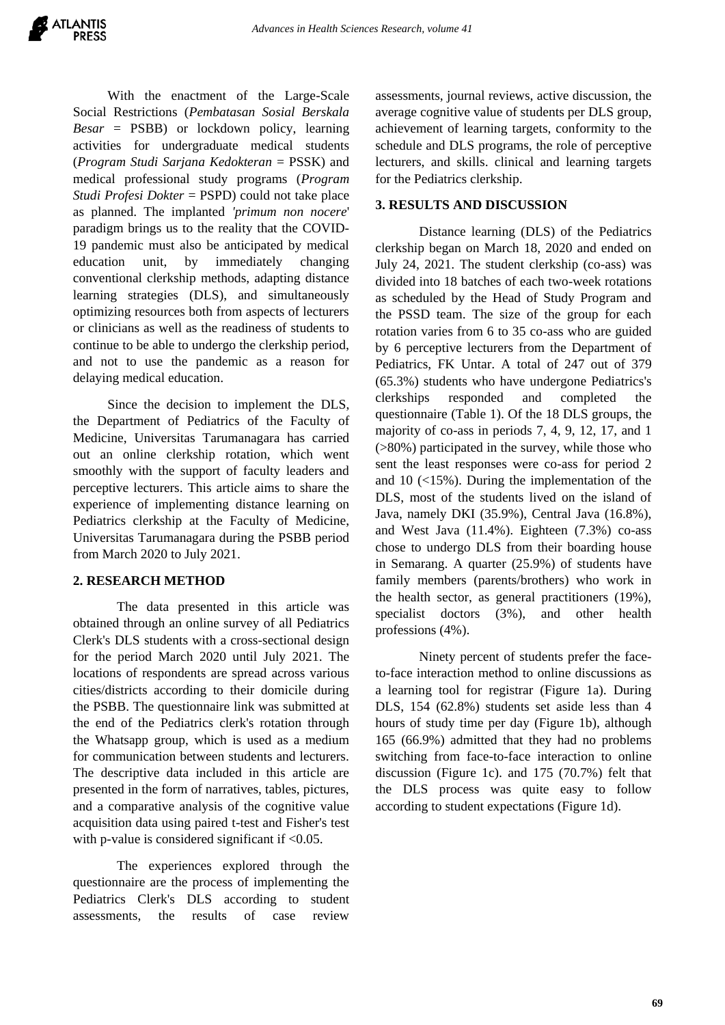With the enactment of the Large-Scale Social Restrictions (*Pembatasan Sosial Berskala Besar* = PSBB) or lockdown policy, learning activities for undergraduate medical students (*Program Studi Sarjana Kedokteran* = PSSK) and medical professional study programs (*Program Studi Profesi Dokter* = PSPD) could not take place as planned. The implanted *'primum non nocere*' paradigm brings us to the reality that the COVID-19 pandemic must also be anticipated by medical education unit, by immediately changing conventional clerkship methods, adapting distance learning strategies (DLS), and simultaneously optimizing resources both from aspects of lecturers or clinicians as well as the readiness of students to continue to be able to undergo the clerkship period, and not to use the pandemic as a reason for delaying medical education.

Since the decision to implement the DLS, the Department of Pediatrics of the Faculty of Medicine, Universitas Tarumanagara has carried out an online clerkship rotation, which went smoothly with the support of faculty leaders and perceptive lecturers. This article aims to share the experience of implementing distance learning on Pediatrics clerkship at the Faculty of Medicine, Universitas Tarumanagara during the PSBB period from March 2020 to July 2021.

## **2. RESEARCH METHOD**

The data presented in this article was obtained through an online survey of all Pediatrics Clerk's DLS students with a cross-sectional design for the period March 2020 until July 2021. The locations of respondents are spread across various cities/districts according to their domicile during the PSBB. The questionnaire link was submitted at the end of the Pediatrics clerk's rotation through the Whatsapp group, which is used as a medium for communication between students and lecturers. The descriptive data included in this article are presented in the form of narratives, tables, pictures, and a comparative analysis of the cognitive value acquisition data using paired t-test and Fisher's test with p-value is considered significant if  $< 0.05$ .

The experiences explored through the questionnaire are the process of implementing the Pediatrics Clerk's DLS according to student assessments, the results of case review

assessments, journal reviews, active discussion, the average cognitive value of students per DLS group, achievement of learning targets, conformity to the schedule and DLS programs, the role of perceptive lecturers, and skills. clinical and learning targets for the Pediatrics clerkship.

# **3. RESULTS AND DISCUSSION**

Distance learning (DLS) of the Pediatrics clerkship began on March 18, 2020 and ended on July 24, 2021. The student clerkship (co-ass) was divided into 18 batches of each two-week rotations as scheduled by the Head of Study Program and the PSSD team. The size of the group for each rotation varies from 6 to 35 co-ass who are guided by 6 perceptive lecturers from the Department of Pediatrics, FK Untar. A total of 247 out of 379 (65.3%) students who have undergone Pediatrics's clerkships responded and completed the questionnaire (Table 1). Of the 18 DLS groups, the majority of co-ass in periods 7, 4, 9, 12, 17, and 1 (>80%) participated in the survey, while those who sent the least responses were co-ass for period 2 and 10 (<15%). During the implementation of the DLS, most of the students lived on the island of Java, namely DKI (35.9%), Central Java (16.8%), and West Java (11.4%). Eighteen (7.3%) co-ass chose to undergo DLS from their boarding house in Semarang. A quarter (25.9%) of students have family members (parents/brothers) who work in the health sector, as general practitioners (19%), specialist doctors (3%), and other health professions (4%).

Ninety percent of students prefer the faceto-face interaction method to online discussions as a learning tool for registrar (Figure 1a). During DLS, 154 (62.8%) students set aside less than 4 hours of study time per day (Figure 1b), although 165 (66.9%) admitted that they had no problems switching from face-to-face interaction to online discussion (Figure 1c). and 175 (70.7%) felt that the DLS process was quite easy to follow according to student expectations (Figure 1d).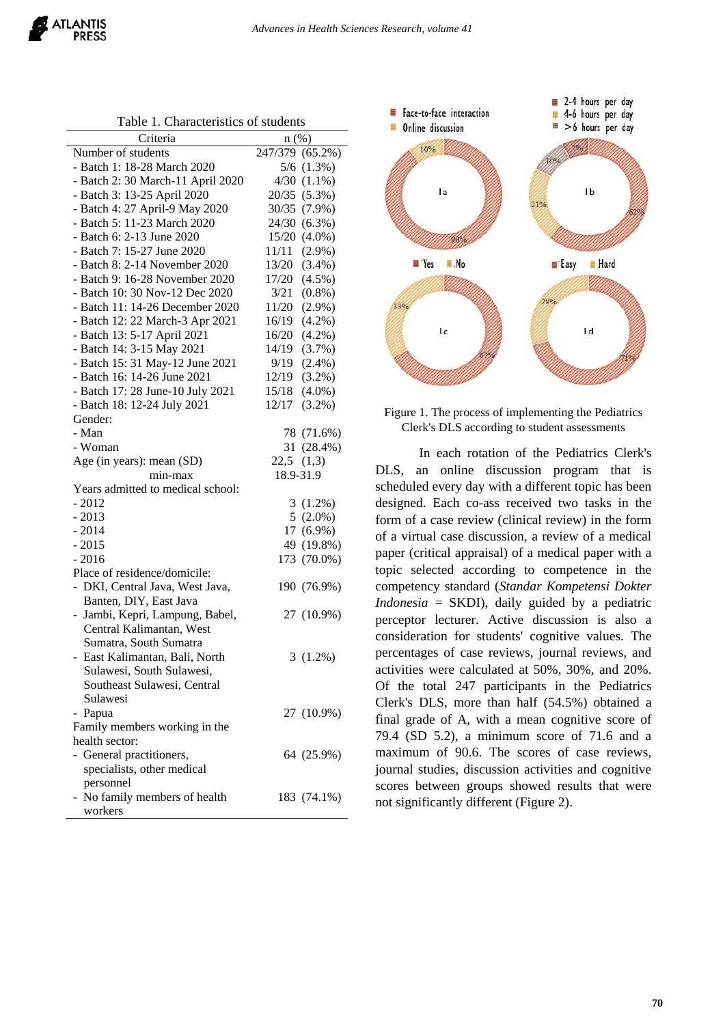| Criteria                                        | $n(\%)$ |                 |
|-------------------------------------------------|---------|-----------------|
| Number of students                              |         | 247/379 (65.2%) |
| - Batch 1: 18-28 March 2020                     |         | $5/6$ $(1.3%)$  |
| - Batch 2: 30 March-11 April 2020               | 4/30    | $(1.1\%)$       |
| - Batch 3: 13-25 April 2020                     | 20/35   | $(5.3\%)$       |
| - Batch 4: 27 April-9 May 2020                  | 30/35   | $(7.9\%)$       |
| - Batch 5: 11-23 March 2020                     | 24/30   | $(6.3\%)$       |
| - Batch 6: 2-13 June 2020                       | 15/20   | $(4.0\%)$       |
| - Batch 7: 15-27 June 2020                      | 11/11   | $(2.9\%)$       |
| - Batch 8: 2-14 November 2020                   | 13/20   | $(3.4\%)$       |
| - Batch 9: 16-28 November 2020                  | 17/20   | $(4.5\%)$       |
| - Batch 10: 30 Nov-12 Dec 2020                  | 3/21    | $(0.8\%)$       |
| - Batch 11: 14-26 December 2020                 | 11/20   | $(2.9\%)$       |
| - Batch 12: 22 March-3 Apr 2021                 | 16/19   | $(4.2\%)$       |
| - Batch 13: 5-17 April 2021                     | 16/20   | $(4.2\%)$       |
| - Batch 14: 3-15 May 2021                       | 14/19   | (3.7%)          |
| - Batch 15: 31 May-12 June 2021                 | 9/19    | $(2.4\%)$       |
| - Batch 16: 14-26 June 2021                     | 12/19   | $(3.2\%)$       |
| - Batch 17: 28 June-10 July 2021                | 15/18   | $(4.0\%)$       |
| - Batch 18: 12-24 July 2021                     | 12/17   | $(3.2\%)$       |
| Gender:                                         |         |                 |
| - Man                                           |         | 78 (71.6%)      |
| - Woman                                         | 31      | $(28.4\%)$      |
| Age (in years): mean (SD)                       |         | $22,5$ $(1,3)$  |
| min-max                                         |         | 18.9-31.9       |
| Years admitted to medical school:               |         |                 |
| $-2012$                                         |         | $3(1.2\%)$      |
| $-2013$                                         |         | $5(2.0\%)$      |
| $-2014$                                         |         | 17 (6.9%)       |
| $-2015$                                         |         | 49 (19.8%)      |
| $-2016$                                         |         | 173 (70.0%)     |
| Place of residence/domicile:                    |         |                 |
| - DKI, Central Java, West Java,                 |         | 190 (76.9%)     |
| Banten, DIY, East Java                          |         |                 |
| Jambi, Kepri, Lampung, Babel,                   |         | 27 (10.9%)      |
| Central Kalimantan, West                        |         |                 |
| Sumatra, South Sumatra                          |         |                 |
| - East Kalimantan, Bali, North                  |         | 3(1.2%)         |
| Sulawesi, South Sulawesi,                       |         |                 |
| Southeast Sulawesi, Central                     |         |                 |
| Sulawesi                                        |         |                 |
|                                                 |         | 27 (10.9%)      |
| - Papua                                         |         |                 |
| Family members working in the<br>health sector: |         |                 |
|                                                 |         |                 |
| General practitioners,                          |         | 64 (25.9%)      |
| specialists, other medical                      |         |                 |
| personnel                                       |         |                 |
| - No family members of health<br>workers        |         | 183 (74.1%)     |



## Figure 1. The process of implementing the Pediatrics Clerk's DLS according to student assessments

In each rotation of the Pediatrics Clerk's DLS, an online discussion program that is scheduled every day with a different topic has been designed. Each co-ass received two tasks in the form of a case review (clinical review) in the form of a virtual case discussion, a review of a medical paper (critical appraisal) of a medical paper with a topic selected according to competence in the competency standard (*Standar Kompetensi Dokter Indonesia* = SKDI), daily guided by a pediatric perceptor lecturer. Active discussion is also a consideration for students' cognitive values. The percentages of case reviews, journal reviews, and activities were calculated at 50%, 30%, and 20%. Of the total 247 participants in the Pediatrics Clerk's DLS, more than half (54.5%) obtained a final grade of A, with a mean cognitive score of 79.4 (SD 5.2), a minimum score of 71.6 and a maximum of 90.6. The scores of case reviews, journal studies, discussion activities and cognitive scores between groups showed results that were not significantly different (Figure 2).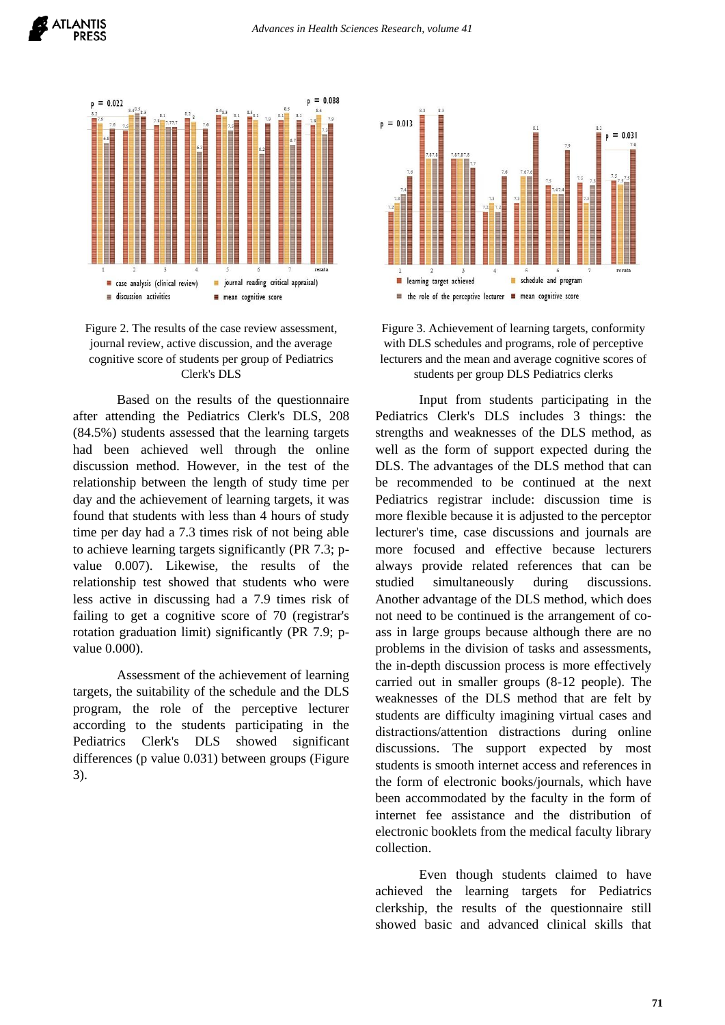



Based on the results of the questionnaire after attending the Pediatrics Clerk's DLS, 208 (84.5%) students assessed that the learning targets had been achieved well through the online discussion method. However, in the test of the relationship between the length of study time per day and the achievement of learning targets, it was found that students with less than 4 hours of study time per day had a 7.3 times risk of not being able to achieve learning targets significantly (PR 7.3; pvalue 0.007). Likewise, the results of the relationship test showed that students who were less active in discussing had a 7.9 times risk of failing to get a cognitive score of 70 (registrar's rotation graduation limit) significantly (PR 7.9; pvalue 0.000).

Assessment of the achievement of learning targets, the suitability of the schedule and the DLS program, the role of the perceptive lecturer according to the students participating in the Pediatrics Clerk's DLS showed significant differences (p value 0.031) between groups (Figure 3).





Input from students participating in the Pediatrics Clerk's DLS includes 3 things: the strengths and weaknesses of the DLS method, as well as the form of support expected during the DLS. The advantages of the DLS method that can be recommended to be continued at the next Pediatrics registrar include: discussion time is more flexible because it is adjusted to the perceptor lecturer's time, case discussions and journals are more focused and effective because lecturers always provide related references that can be studied simultaneously during discussions. Another advantage of the DLS method, which does not need to be continued is the arrangement of coass in large groups because although there are no problems in the division of tasks and assessments, the in-depth discussion process is more effectively carried out in smaller groups (8-12 people). The weaknesses of the DLS method that are felt by students are difficulty imagining virtual cases and distractions/attention distractions during online discussions. The support expected by most students is smooth internet access and references in the form of electronic books/journals, which have been accommodated by the faculty in the form of internet fee assistance and the distribution of electronic booklets from the medical faculty library collection.

Even though students claimed to have achieved the learning targets for Pediatrics clerkship, the results of the questionnaire still showed basic and advanced clinical skills that